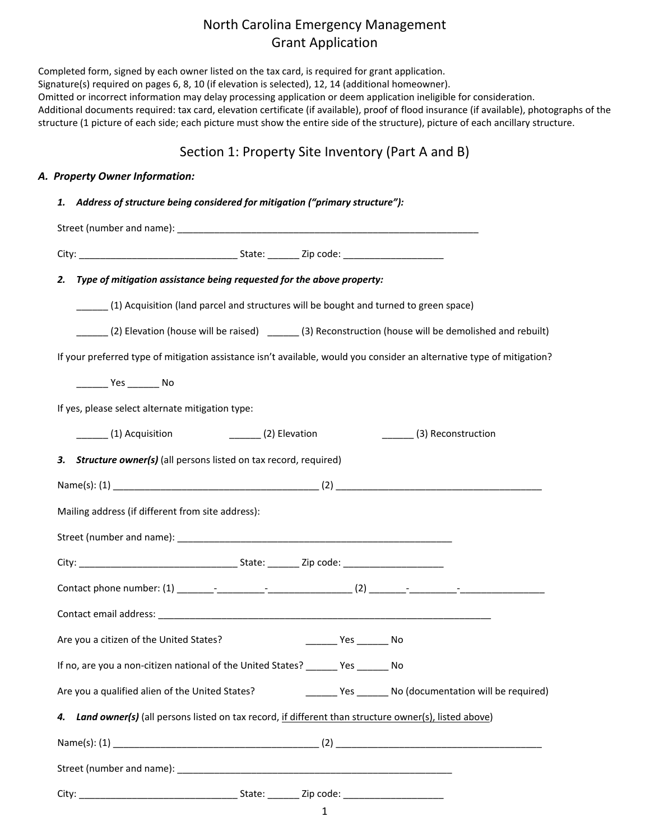|    | Section 1: Property Site Inventory (Part A and B)                                                                      |
|----|------------------------------------------------------------------------------------------------------------------------|
|    | A. Property Owner Information:                                                                                         |
|    | 1. Address of structure being considered for mitigation ("primary structure"):                                         |
|    |                                                                                                                        |
|    |                                                                                                                        |
|    | Type of mitigation assistance being requested for the above property:<br>2.                                            |
|    | (1) Acquisition (land parcel and structures will be bought and turned to green space)                                  |
|    | (2) Elevation (house will be raised) _______(3) Reconstruction (house will be demolished and rebuilt)                  |
|    | If your preferred type of mitigation assistance isn't available, would you consider an alternative type of mitigation? |
|    |                                                                                                                        |
|    | If yes, please select alternate mitigation type:                                                                       |
|    | (1) Acquisition<br>$\sqrt{2}$ Elevation<br>_______(3) Reconstruction                                                   |
|    | <b>Structure owner(s)</b> (all persons listed on tax record, required)<br>3.                                           |
|    |                                                                                                                        |
|    | Mailing address (if different from site address):                                                                      |
|    |                                                                                                                        |
|    |                                                                                                                        |
|    |                                                                                                                        |
|    |                                                                                                                        |
|    | Are you a citizen of the United States?<br>_________ Yes _________ No                                                  |
|    | If no, are you a non-citizen national of the United States? _______ Yes _______ No                                     |
|    | Are you a qualified alien of the United States? [10] [10] Yes _________ No (documentation will be required)            |
|    |                                                                                                                        |
| 4. | Land owner(s) (all persons listed on tax record, if different than structure owner(s), listed above)                   |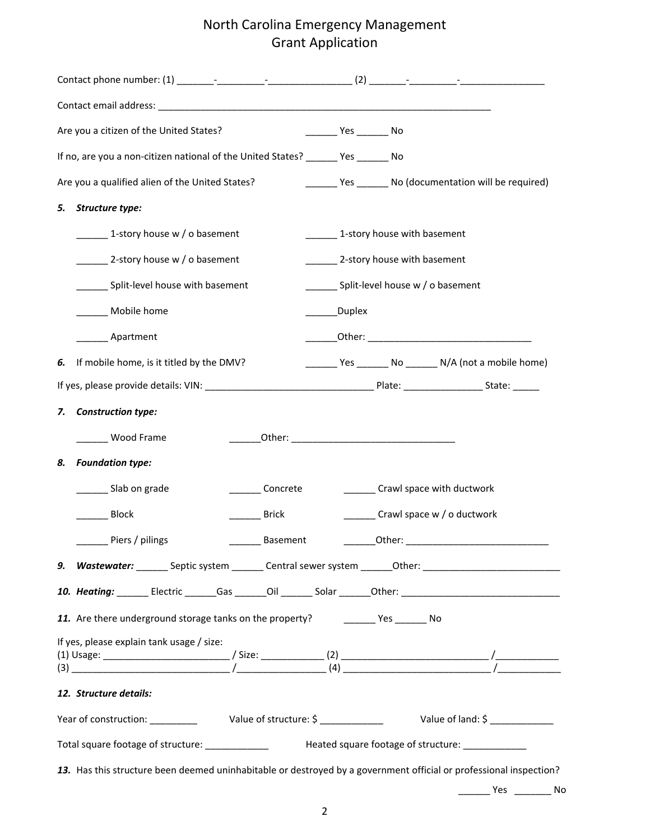| Are you a citizen of the United States?                                               | Yes No                                                                                                             |
|---------------------------------------------------------------------------------------|--------------------------------------------------------------------------------------------------------------------|
| If no, are you a non-citizen national of the United States? _______ Yes _______ No    |                                                                                                                    |
| Are you a qualified alien of the United States?                                       | _______ Yes _______ No (documentation will be required)                                                            |
| Structure type:<br>5.                                                                 |                                                                                                                    |
| 1-story house w / o basement                                                          | 1-story house with basement                                                                                        |
| 2-story house w / o basement                                                          | 2-story house with basement                                                                                        |
| Split-level house with basement                                                       | Split-level house w / o basement                                                                                   |
| Mobile home                                                                           | _______Duplex                                                                                                      |
| Apartment                                                                             |                                                                                                                    |
| If mobile home, is it titled by the DMV?<br>6.                                        | ________ Yes ________ No ________ N/A (not a mobile home)                                                          |
|                                                                                       |                                                                                                                    |
| <b>Construction type:</b><br>7.                                                       |                                                                                                                    |
| Wood Frame                                                                            |                                                                                                                    |
| <b>Foundation type:</b><br>8.                                                         |                                                                                                                    |
| _________ Slab on grade<br>Concrete                                                   | ________ Crawl space with ductwork                                                                                 |
| Block                                                                                 | Crawl space w / o ductwork<br>Brick                                                                                |
| Piers / pilings                                                                       | <b>Basement</b><br>Other:                                                                                          |
|                                                                                       | 9. Wastewater: Septic system ______ Central sewer system ______ Other: _____________________________               |
|                                                                                       |                                                                                                                    |
| 11. Are there underground storage tanks on the property? ____________ Yes ________ No |                                                                                                                    |
| If yes, please explain tank usage / size:                                             |                                                                                                                    |
| 12. Structure details:                                                                |                                                                                                                    |
|                                                                                       |                                                                                                                    |
|                                                                                       | Total square footage of structure: _______________ Heated square footage of structure: ____________                |
|                                                                                       | 13. Has this structure been deemed uninhabitable or destroyed by a government official or professional inspection? |

\_\_\_\_\_\_ Yes \_\_\_\_\_\_\_ No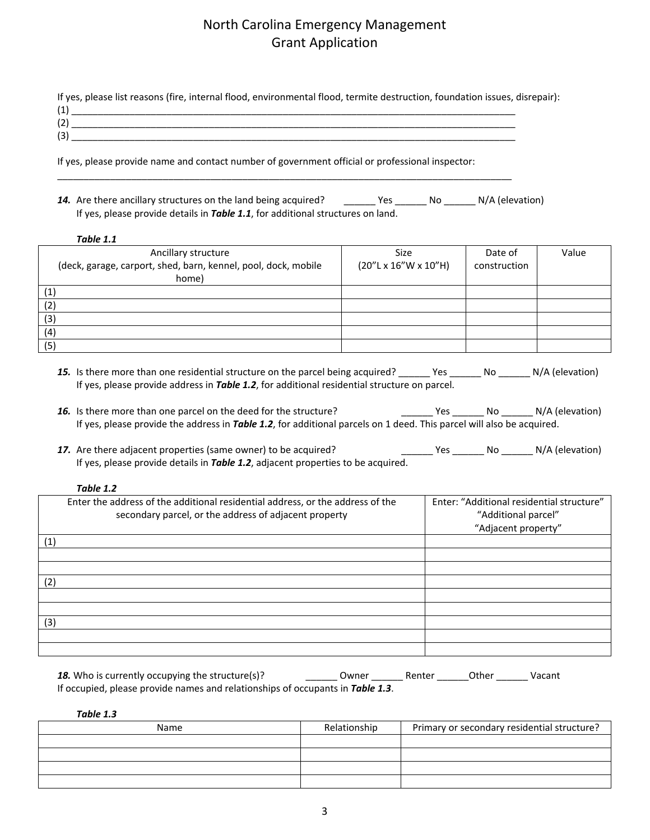| If yes, please list reasons (fire, internal flood, environmental flood, termite destruction, foundation issues, disrepair): |  |
|-----------------------------------------------------------------------------------------------------------------------------|--|
|                                                                                                                             |  |
| (2)                                                                                                                         |  |
| (3)                                                                                                                         |  |

If yes, please provide name and contact number of government official or professional inspector:

\_\_\_\_\_\_\_\_\_\_\_\_\_\_\_\_\_\_\_\_\_\_\_\_\_\_\_\_\_\_\_\_\_\_\_\_\_\_\_\_\_\_\_\_\_\_\_\_\_\_\_\_\_\_\_\_\_\_\_\_\_\_\_\_\_\_\_\_\_\_\_\_\_\_\_\_\_\_\_\_\_\_\_\_\_\_

14. Are there ancillary structures on the land being acquired? \_\_\_\_\_\_\_ Yes \_\_\_\_\_\_ No \_\_\_\_\_\_ N/A (elevation) If yes, please provide details in *Table 1.1*, for additional structures on land.

#### *Table 1.1*

| Ancillary structure<br>(deck, garage, carport, shed, barn, kennel, pool, dock, mobile<br>home) | <b>Size</b><br>$(20''L \times 16''W \times 10''H)$ | Date of<br>construction | Value |
|------------------------------------------------------------------------------------------------|----------------------------------------------------|-------------------------|-------|
| (1)                                                                                            |                                                    |                         |       |
| (2)                                                                                            |                                                    |                         |       |
| (3)                                                                                            |                                                    |                         |       |
| (4)                                                                                            |                                                    |                         |       |
| (5)                                                                                            |                                                    |                         |       |

- 15. Is there more than one residential structure on the parcel being acquired? \_\_\_\_\_\_ Yes \_\_\_\_\_\_ No \_\_\_\_\_\_ N/A (elevation) If yes, please provide address in *Table 1.2*, for additional residential structure on parcel.
- 16. Is there more than one parcel on the deed for the structure? The Messeng Yes Langley No Langley N/A (elevation) If yes, please provide the address in *Table 1.2*, for additional parcels on 1 deed. This parcel will also be acquired.
- 17. Are there adjacent properties (same owner) to be acquired? \_\_\_\_\_\_\_\_\_\_ Yes \_\_\_\_\_\_\_ No \_\_\_\_\_\_\_ N/A (elevation) If yes, please provide details in *Table 1.2*, adjacent properties to be acquired.

#### *Table 1.2*

|     | Enter the address of the additional residential address, or the address of the<br>secondary parcel, or the address of adjacent property | Enter: "Additional residential structure"<br>"Additional parcel"<br>"Adjacent property" |
|-----|-----------------------------------------------------------------------------------------------------------------------------------------|-----------------------------------------------------------------------------------------|
| (1) |                                                                                                                                         |                                                                                         |
|     |                                                                                                                                         |                                                                                         |
|     |                                                                                                                                         |                                                                                         |
| (2) |                                                                                                                                         |                                                                                         |
|     |                                                                                                                                         |                                                                                         |
|     |                                                                                                                                         |                                                                                         |
| (3) |                                                                                                                                         |                                                                                         |
|     |                                                                                                                                         |                                                                                         |
|     |                                                                                                                                         |                                                                                         |

| 18. Who is currently occupying the structure(s)?                               | Owner | Renter | Other | Vacant |
|--------------------------------------------------------------------------------|-------|--------|-------|--------|
| If occupied, please provide names and relationships of occupants in Table 1.3. |       |        |       |        |

*Table 1.3*

| Name | Relationship | Primary or secondary residential structure? |
|------|--------------|---------------------------------------------|
|      |              |                                             |
|      |              |                                             |
|      |              |                                             |
|      |              |                                             |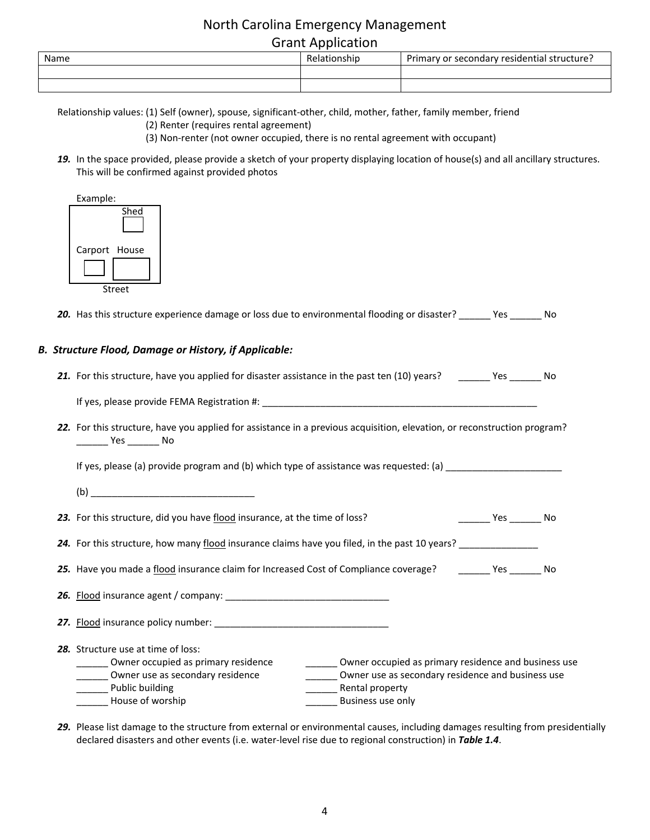# North Carolina Emergency Management

| Name | elationship<br>٦٣. | secondary residential structure?<br>Primary or . |
|------|--------------------|--------------------------------------------------|
|      |                    |                                                  |
|      |                    |                                                  |

Relationship values: (1) Self (owner), spouse, significant-other, child, mother, father, family member, friend

(2) Renter (requires rental agreement)

(3) Non-renter (not owner occupied, there is no rental agreement with occupant)

*19.* In the space provided, please provide a sketch of your property displaying location of house(s) and all ancillary structures. This will be confirmed against provided photos

| Example:      |        |
|---------------|--------|
|               | Shed   |
|               |        |
| Carport House |        |
|               |        |
|               |        |
|               | Street |

*20.* Has this structure experience damage or loss due to environmental flooding or disaster? \_\_\_\_\_\_ Yes \_\_\_\_\_\_ No

#### *B. Structure Flood, Damage or History, if Applicable:*

| 21. For this structure, have you applied for disaster assistance in the past ten (10) years?<br>Yes. |  |  |  |  |  |  | No |
|------------------------------------------------------------------------------------------------------|--|--|--|--|--|--|----|
|------------------------------------------------------------------------------------------------------|--|--|--|--|--|--|----|

If yes, please provide FEMA Registration #: \_\_\_\_\_\_\_\_\_\_\_\_\_\_\_\_\_\_\_\_\_\_\_\_\_\_\_\_\_\_\_\_\_\_\_\_\_\_\_\_\_\_\_\_\_\_\_\_\_\_\_\_

*22.* For this structure, have you applied for assistance in a previous acquisition, elevation, or reconstruction program? \_\_\_\_\_\_ Yes \_\_\_\_\_\_ No

If yes, please (a) provide program and (b) which type of assistance was requested: (a) \_\_\_\_\_\_\_\_\_\_\_\_\_\_\_\_\_\_\_\_\_\_

*23.* For this structure, did you have flood insurance, at the time of loss? \_\_\_\_\_\_ Yes \_\_\_\_\_\_ No

24. For this structure, how many flood insurance claims have you filed, in the past 10 years? \_\_\_\_\_\_\_\_\_\_\_\_\_\_\_

25. Have you made a flood insurance claim for Increased Cost of Compliance coverage? \_\_\_\_\_\_\_ Yes \_\_\_\_\_\_ No

*26.* Flood insurance agent / company: \_\_\_\_\_\_\_\_\_\_\_\_\_\_\_\_\_\_\_\_\_\_\_\_\_\_\_\_\_\_\_ *27.* Flood insurance policy number: \_\_\_\_\_\_\_\_\_\_\_\_\_\_\_\_\_\_\_\_\_\_\_\_\_\_\_\_\_\_\_\_\_ *28.* Structure use at time of loss: \_\_\_ Owner occupied as primary residence \_\_\_\_\_\_\_\_\_\_\_\_\_\_ Owner occupied as primary residence and business use \_\_\_\_\_\_ Owner use as secondary residence \_\_\_\_\_\_\_\_\_\_\_\_\_\_ Owner use as secondary residence and business use Let Dublic building the contract of the contract of the Public building the contract of the contract of the contract  $\frac{1}{2}$  Rental property House of worship example and the settlement of Business use only

*29.* Please list damage to the structure from external or environmental causes, including damages resulting from presidentially declared disasters and other events (i.e. water-level rise due to regional construction) in *Table 1.4*.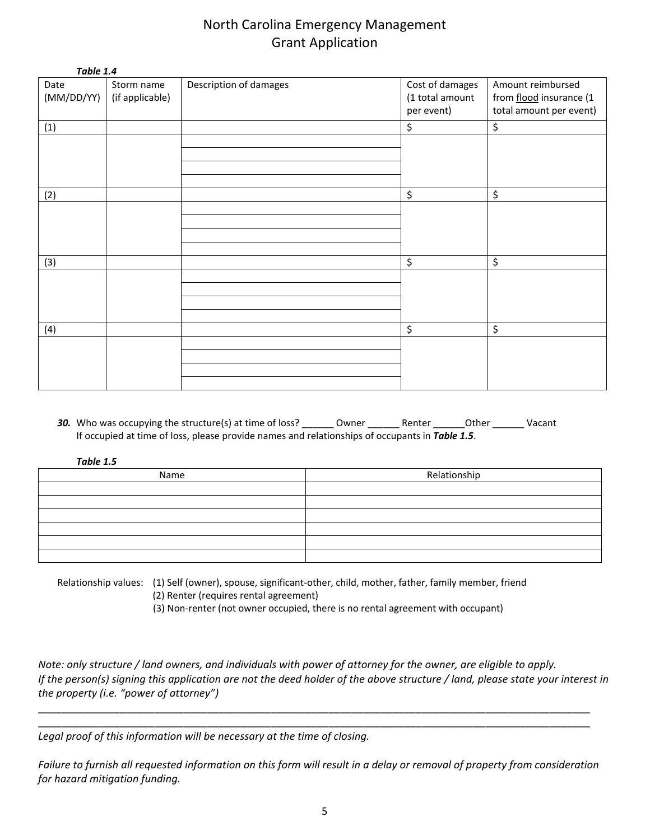| Table 1.4  |                 |                        |                 |                         |
|------------|-----------------|------------------------|-----------------|-------------------------|
| Date       | Storm name      | Description of damages | Cost of damages | Amount reimbursed       |
| (MM/DD/YY) | (if applicable) |                        | (1 total amount | from flood insurance (1 |
|            |                 |                        | per event)      | total amount per event) |
| (1)        |                 |                        | \$              | \$                      |
|            |                 |                        |                 |                         |
|            |                 |                        |                 |                         |
|            |                 |                        |                 |                         |
|            |                 |                        |                 |                         |
| (2)        |                 |                        | \$              | \$                      |
|            |                 |                        |                 |                         |
|            |                 |                        |                 |                         |
|            |                 |                        |                 |                         |
|            |                 |                        |                 |                         |
| (3)        |                 |                        | \$              | \$                      |
|            |                 |                        |                 |                         |
|            |                 |                        |                 |                         |
|            |                 |                        |                 |                         |
|            |                 |                        |                 |                         |
| (4)        |                 |                        | \$              | \$                      |
|            |                 |                        |                 |                         |
|            |                 |                        |                 |                         |
|            |                 |                        |                 |                         |
|            |                 |                        |                 |                         |

30. Who was occupying the structure(s) at time of loss? \_\_\_\_\_\_\_ Owner \_\_\_\_\_\_\_ Renter \_\_\_\_\_\_\_Other \_\_\_\_\_\_\_ Vacant If occupied at time of loss, please provide names and relationships of occupants in *Table 1.5*.

| Table |  |
|-------|--|
|-------|--|

| Name | Relationship |  |
|------|--------------|--|
|      |              |  |
|      |              |  |
|      |              |  |
|      |              |  |
|      |              |  |
|      |              |  |

Relationship values: (1) Self (owner), spouse, significant-other, child, mother, father, family member, friend (2) Renter (requires rental agreement)

(3) Non-renter (not owner occupied, there is no rental agreement with occupant)

*Note: only structure / land owners, and individuals with power of attorney for the owner, are eligible to apply. If the person(s) signing this application are not the deed holder of the above structure / land, please state your interest in the property (i.e. "power of attorney")*

\_\_\_\_\_\_\_\_\_\_\_\_\_\_\_\_\_\_\_\_\_\_\_\_\_\_\_\_\_\_\_\_\_\_\_\_\_\_\_\_\_\_\_\_\_\_\_\_\_\_\_\_\_\_\_\_\_\_\_\_\_\_\_\_\_\_\_\_\_\_\_\_\_\_\_\_\_\_\_\_\_\_\_\_\_\_\_\_\_\_\_\_\_\_\_ \_\_\_\_\_\_\_\_\_\_\_\_\_\_\_\_\_\_\_\_\_\_\_\_\_\_\_\_\_\_\_\_\_\_\_\_\_\_\_\_\_\_\_\_\_\_\_\_\_\_\_\_\_\_\_\_\_\_\_\_\_\_\_\_\_\_\_\_\_\_\_\_\_\_\_\_\_\_\_\_\_\_\_\_\_\_\_\_\_\_\_\_\_\_\_

*Legal proof of this information will be necessary at the time of closing.* 

*Failure to furnish all requested information on this form will result in a delay or removal of property from consideration for hazard mitigation funding.*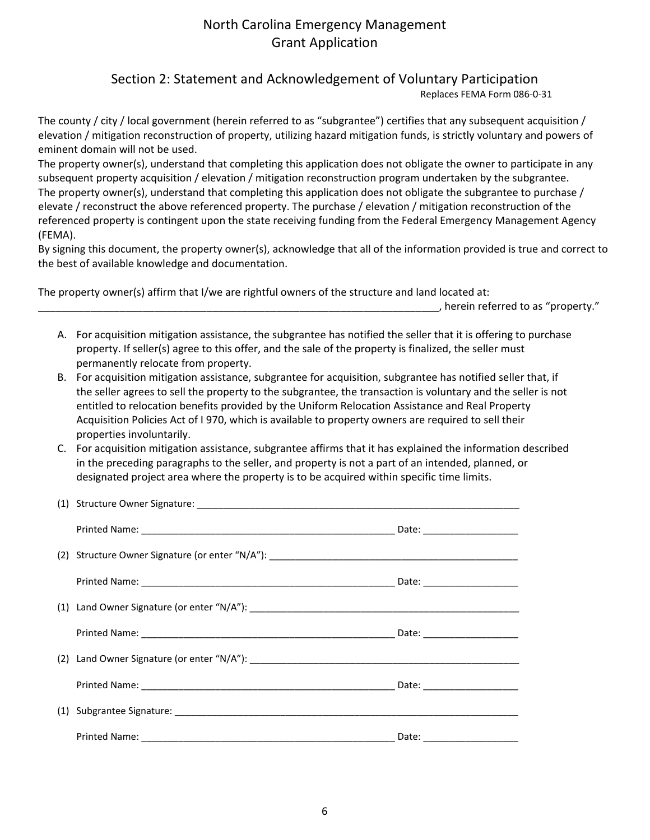Section 2: Statement and Acknowledgement of Voluntary Participation

Replaces FEMA Form 086-0-31

The county / city / local government (herein referred to as "subgrantee") certifies that any subsequent acquisition / elevation / mitigation reconstruction of property, utilizing hazard mitigation funds, is strictly voluntary and powers of eminent domain will not be used.

The property owner(s), understand that completing this application does not obligate the owner to participate in any subsequent property acquisition / elevation / mitigation reconstruction program undertaken by the subgrantee. The property owner(s), understand that completing this application does not obligate the subgrantee to purchase / elevate / reconstruct the above referenced property. The purchase / elevation / mitigation reconstruction of the referenced property is contingent upon the state receiving funding from the Federal Emergency Management Agency (FEMA).

By signing this document, the property owner(s), acknowledge that all of the information provided is true and correct to the best of available knowledge and documentation.

The property owner(s) affirm that I/we are rightful owners of the structure and land located at:

 $\_\_\_$ , herein referred to as "property."

- A. For acquisition mitigation assistance, the subgrantee has notified the seller that it is offering to purchase property. If seller(s) agree to this offer, and the sale of the property is finalized, the seller must permanently relocate from property.
- B. For acquisition mitigation assistance, subgrantee for acquisition, subgrantee has notified seller that, if the seller agrees to sell the property to the subgrantee, the transaction is voluntary and the seller is not entitled to relocation benefits provided by the Uniform Relocation Assistance and Real Property Acquisition Policies Act of I 970, which is available to property owners are required to sell their properties involuntarily.
- C. For acquisition mitigation assistance, subgrantee affirms that it has explained the information described in the preceding paragraphs to the seller, and property is not a part of an intended, planned, or designated project area where the property is to be acquired within specific time limits.

|  | Date: ______________________ |
|--|------------------------------|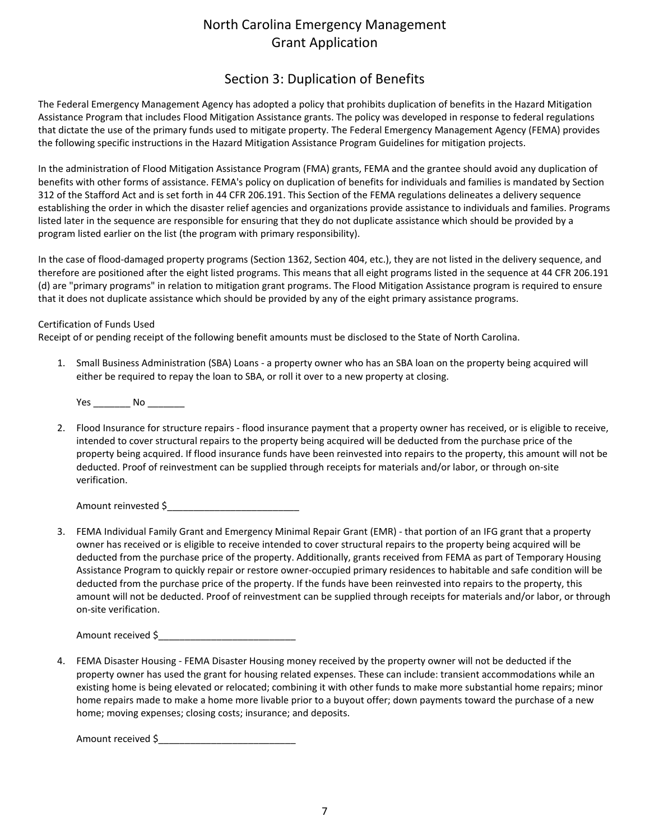### Section 3: Duplication of Benefits

The Federal Emergency Management Agency has adopted a policy that prohibits duplication of benefits in the Hazard Mitigation Assistance Program that includes Flood Mitigation Assistance grants. The policy was developed in response to federal regulations that dictate the use of the primary funds used to mitigate property. The Federal Emergency Management Agency (FEMA) provides the following specific instructions in the Hazard Mitigation Assistance Program Guidelines for mitigation projects.

In the administration of Flood Mitigation Assistance Program (FMA) grants, FEMA and the grantee should avoid any duplication of benefits with other forms of assistance. FEMA's policy on duplication of benefits for individuals and families is mandated by Section 312 of the Stafford Act and is set forth in 44 CFR 206.191. This Section of the FEMA regulations delineates a delivery sequence establishing the order in which the disaster relief agencies and organizations provide assistance to individuals and families. Programs listed later in the sequence are responsible for ensuring that they do not duplicate assistance which should be provided by a program listed earlier on the list (the program with primary responsibility).

In the case of flood-damaged property programs (Section 1362, Section 404, etc.), they are not listed in the delivery sequence, and therefore are positioned after the eight listed programs. This means that all eight programs listed in the sequence at 44 CFR 206.191 (d) are "primary programs" in relation to mitigation grant programs. The Flood Mitigation Assistance program is required to ensure that it does not duplicate assistance which should be provided by any of the eight primary assistance programs.

#### Certification of Funds Used

Receipt of or pending receipt of the following benefit amounts must be disclosed to the State of North Carolina.

1. Small Business Administration (SBA) Loans - a property owner who has an SBA loan on the property being acquired will either be required to repay the loan to SBA, or roll it over to a new property at closing.

Yes \_\_\_\_\_\_\_\_\_ No \_\_\_\_\_\_\_\_\_

2. Flood Insurance for structure repairs - flood insurance payment that a property owner has received, or is eligible to receive, intended to cover structural repairs to the property being acquired will be deducted from the purchase price of the property being acquired. If flood insurance funds have been reinvested into repairs to the property, this amount will not be deducted. Proof of reinvestment can be supplied through receipts for materials and/or labor, or through on-site verification.

Amount reinvested \$\_\_\_\_\_\_\_\_\_\_\_\_\_\_\_\_\_\_\_\_\_\_\_\_\_

3. FEMA Individual Family Grant and Emergency Minimal Repair Grant (EMR) - that portion of an IFG grant that a property owner has received or is eligible to receive intended to cover structural repairs to the property being acquired will be deducted from the purchase price of the property. Additionally, grants received from FEMA as part of Temporary Housing Assistance Program to quickly repair or restore owner-occupied primary residences to habitable and safe condition will be deducted from the purchase price of the property. If the funds have been reinvested into repairs to the property, this amount will not be deducted. Proof of reinvestment can be supplied through receipts for materials and/or labor, or through on-site verification.

Amount received \$

4. FEMA Disaster Housing - FEMA Disaster Housing money received by the property owner will not be deducted if the property owner has used the grant for housing related expenses. These can include: transient accommodations while an existing home is being elevated or relocated; combining it with other funds to make more substantial home repairs; minor home repairs made to make a home more livable prior to a buyout offer; down payments toward the purchase of a new home; moving expenses; closing costs; insurance; and deposits.

Amount received \$\_\_\_\_\_\_\_\_\_\_\_\_\_\_\_\_\_\_\_\_\_\_\_\_\_\_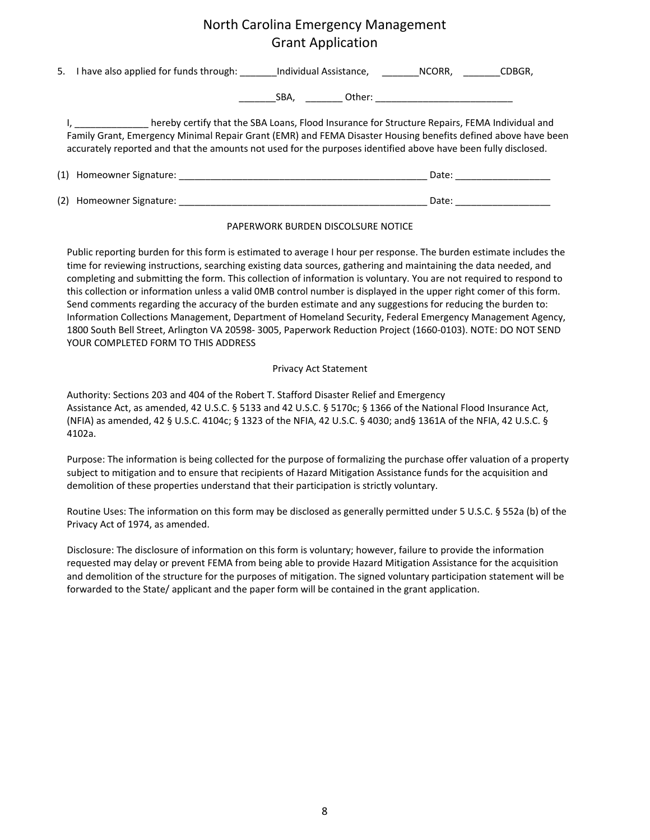| 5. I have also applied for funds through: Individual Assistance, NCORR, CDBGR,                                                                                                                                                                                                                                                      |                                    |  |                           |
|-------------------------------------------------------------------------------------------------------------------------------------------------------------------------------------------------------------------------------------------------------------------------------------------------------------------------------------|------------------------------------|--|---------------------------|
|                                                                                                                                                                                                                                                                                                                                     |                                    |  |                           |
| I, hereby certify that the SBA Loans, Flood Insurance for Structure Repairs, FEMA Individual and<br>Family Grant, Emergency Minimal Repair Grant (EMR) and FEMA Disaster Housing benefits defined above have been<br>accurately reported and that the amounts not used for the purposes identified above have been fully disclosed. |                                    |  |                           |
|                                                                                                                                                                                                                                                                                                                                     |                                    |  | Date: __________________  |
|                                                                                                                                                                                                                                                                                                                                     |                                    |  | Date: ___________________ |
|                                                                                                                                                                                                                                                                                                                                     | PAPERWORK BURDEN DISCOLSURE NOTICE |  |                           |

Public reporting burden for this form is estimated to average I hour per response. The burden estimate includes the time for reviewing instructions, searching existing data sources, gathering and maintaining the data needed, and completing and submitting the form. This collection of information is voluntary. You are not required to respond to this collection or information unless a valid 0MB control number is displayed in the upper right comer of this form. Send comments regarding the accuracy of the burden estimate and any suggestions for reducing the burden to: Information Collections Management, Department of Homeland Security, Federal Emergency Management Agency, 1800 South Bell Street, Arlington VA 20598- 3005, Paperwork Reduction Project (1660-0103). NOTE: DO NOT SEND YOUR COMPLETED FORM TO THIS ADDRESS

#### Privacy Act Statement

Authority: Sections 203 and 404 of the Robert T. Stafford Disaster Relief and Emergency Assistance Act, as amended, 42 U.S.C. § 5133 and 42 U.S.C. § 5170c; § 1366 of the National Flood Insurance Act, (NFIA) as amended, 42 § U.S.C. 4104c; § 1323 of the NFIA, 42 U.S.C. § 4030; and§ 1361A of the NFIA, 42 U.S.C. § 4102a.

Purpose: The information is being collected for the purpose of formalizing the purchase offer valuation of a property subject to mitigation and to ensure that recipients of Hazard Mitigation Assistance funds for the acquisition and demolition of these properties understand that their participation is strictly voluntary.

Routine Uses: The information on this form may be disclosed as generally permitted under 5 U.S.C. § 552a (b) of the Privacy Act of 1974, as amended.

Disclosure: The disclosure of information on this form is voluntary; however, failure to provide the information requested may delay or prevent FEMA from being able to provide Hazard Mitigation Assistance for the acquisition and demolition of the structure for the purposes of mitigation. The signed voluntary participation statement will be forwarded to the State/ applicant and the paper form will be contained in the grant application.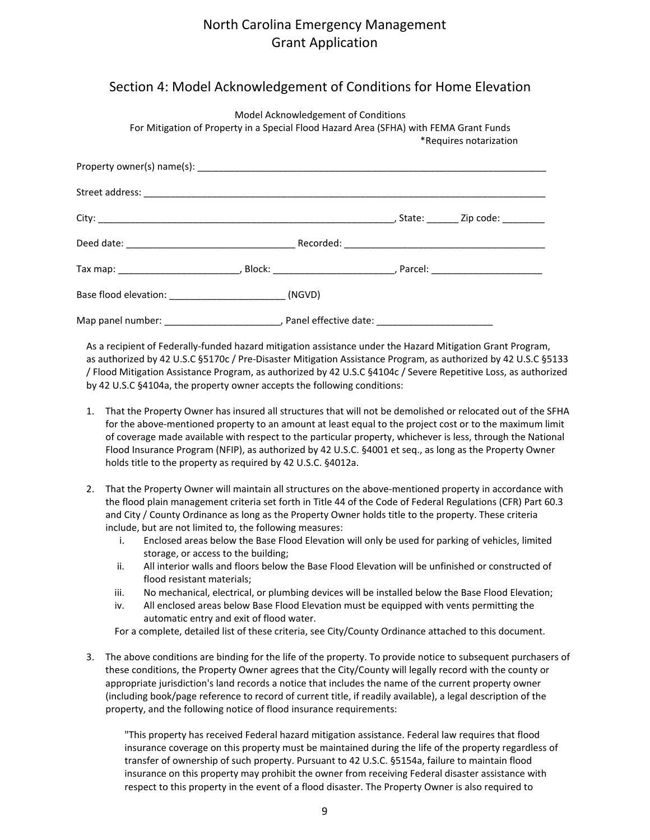### Section 4: Model Acknowledgement of Conditions for Home Elevation

Model Acknowledgement of Conditions

| For Mitigation of Property in a Special Flood Hazard Area (SFHA) with FEMA Grant Funds<br>*Requires notarization |                                                                                                                      |                         |  |
|------------------------------------------------------------------------------------------------------------------|----------------------------------------------------------------------------------------------------------------------|-------------------------|--|
|                                                                                                                  |                                                                                                                      |                         |  |
|                                                                                                                  |                                                                                                                      |                         |  |
|                                                                                                                  |                                                                                                                      |                         |  |
|                                                                                                                  |                                                                                                                      |                         |  |
|                                                                                                                  |                                                                                                                      |                         |  |
|                                                                                                                  |                                                                                                                      |                         |  |
| Map panel number:                                                                                                | <u> 1989 - Johann Barn, mars eta bainar eta industrial eta erromania eta erromania eta erromania eta erromania e</u> | , Panel effective date: |  |

As a recipient of Federally-funded hazard mitigation assistance under the Hazard Mitigation Grant Program, as authorized by 42 U.S.C §5170c / Pre-Disaster Mitigation Assistance Program, as authorized by 42 U.S.C §5133 / Flood Mitigation Assistance Program, as authorized by 42 U.S.C §4104c / Severe Repetitive Loss, as authorized by 42 U.S.C §4104a, the property owner accepts the following conditions:

- 1. That the Property Owner has insured all structures that will not be demolished or relocated out of the SFHA for the above-mentioned property to an amount at least equal to the project cost or to the maximum limit of coverage made available with respect to the particular property, whichever is less, through the National Flood Insurance Program (NFIP), as authorized by 42 U.S.C. §4001 et seq., as long as the Property Owner holds title to the property as required by 42 U.S.C. §4012a.
- 2. That the Property Owner will maintain all structures on the above-mentioned property in accordance with the flood plain management criteria set forth in Title 44 of the Code of Federal Regulations (CFR) Part 60.3 and City / County Ordinance as long as the Property Owner holds title to the property. These criteria include, but are not limited to, the following measures:
	- i. Enclosed areas below the Base Flood Elevation will only be used for parking of vehicles, limited storage, or access to the building;
	- ii. All interior walls and floors below the Base Flood Elevation will be unfinished or constructed of flood resistant materials;
	- iii. No mechanical, electrical, or plumbing devices will be installed below the Base Flood Elevation;
	- iv. All enclosed areas below Base Flood Elevation must be equipped with vents permitting the automatic entry and exit of flood water.

For a complete, detailed list of these criteria, see City/County Ordinance attached to this document.

3. The above conditions are binding for the life of the property. To provide notice to subsequent purchasers of these conditions, the Property Owner agrees that the City/County will legally record with the county or appropriate jurisdiction's land records a notice that includes the name of the current property owner (including book/page reference to record of current title, if readily available), a legal description of the property, and the following notice of flood insurance requirements:

"This property has received Federal hazard mitigation assistance. Federal law requires that flood insurance coverage on this property must be maintained during the life of the property regardless of transfer of ownership of such property. Pursuant to 42 U.S.C. §5154a, failure to maintain flood insurance on this property may prohibit the owner from receiving Federal disaster assistance with respect to this property in the event of a flood disaster. The Property Owner is also required to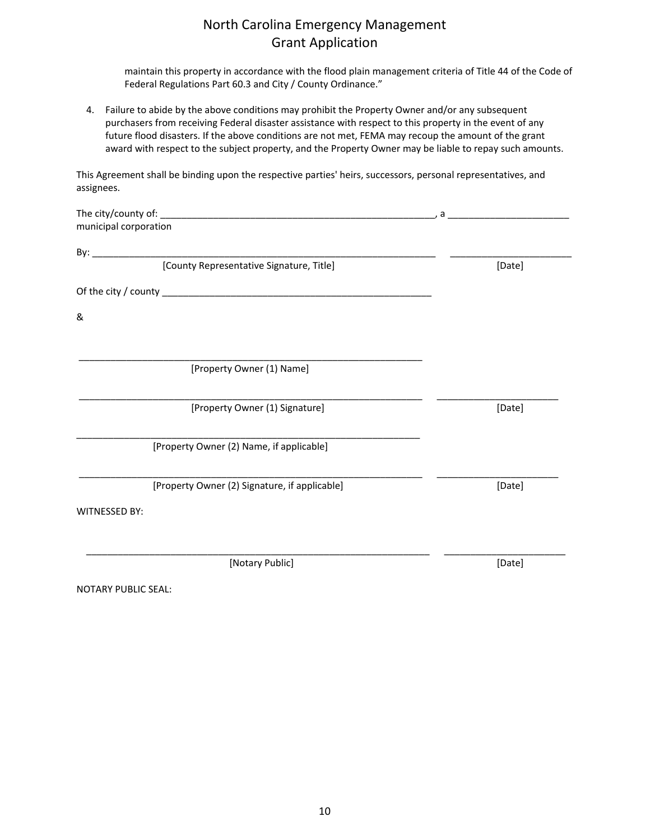maintain this property in accordance with the flood plain management criteria of Title 44 of the Code of Federal Regulations Part 60.3 and City / County Ordinance."

4. Failure to abide by the above conditions may prohibit the Property Owner and/or any subsequent purchasers from receiving Federal disaster assistance with respect to this property in the event of any future flood disasters. If the above conditions are not met, FEMA may recoup the amount of the grant award with respect to the subject property, and the Property Owner may be liable to repay such amounts.

This Agreement shall be binding upon the respective parties' heirs, successors, personal representatives, and assignees.

| municipal corporation                         |        |
|-----------------------------------------------|--------|
|                                               |        |
| [County Representative Signature, Title]      | [Date] |
|                                               |        |
| &                                             |        |
|                                               |        |
| [Property Owner (1) Name]                     |        |
| [Property Owner (1) Signature]                | [Date] |
| [Property Owner (2) Name, if applicable]      |        |
| [Property Owner (2) Signature, if applicable] | [Date] |
| <b>WITNESSED BY:</b>                          |        |
|                                               |        |
| [Notary Public]                               | [Date] |

NOTARY PUBLIC SEAL: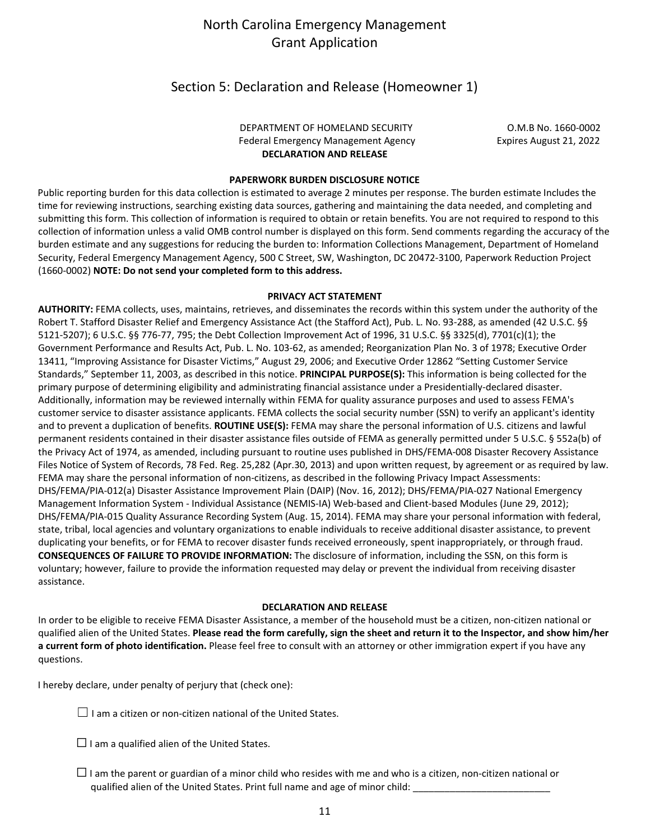### Section 5: Declaration and Release (Homeowner 1)

#### DEPARTMENT OF HOMELAND SECURITY **COMBINICATION** O.M.B No. 1660-0002 Federal Emergency Management Agency **Expires August 21, 2022 DECLARATION AND RELEASE**

#### **PAPERWORK BURDEN DISCLOSURE NOTICE**

Public reporting burden for this data collection is estimated to average 2 minutes per response. The burden estimate Includes the time for reviewing instructions, searching existing data sources, gathering and maintaining the data needed, and completing and submitting this form. This collection of information is required to obtain or retain benefits. You are not required to respond to this collection of information unless a valid OMB control number is displayed on this form. Send comments regarding the accuracy of the burden estimate and any suggestions for reducing the burden to: Information Collections Management, Department of Homeland Security, Federal Emergency Management Agency, 500 C Street, SW, Washington, DC 20472-3100, Paperwork Reduction Project (1660-0002) **NOTE: Do not send your completed form to this address.**

#### **PRIVACY ACT STATEMENT**

**AUTHORITY:** FEMA collects, uses, maintains, retrieves, and disseminates the records within this system under the authority of the Robert T. Stafford Disaster Relief and Emergency Assistance Act (the Stafford Act), Pub. L. No. 93-288, as amended (42 U.S.C. §§ 5121-5207); 6 U.S.C. §§ 776-77, 795; the Debt Collection Improvement Act of 1996, 31 U.S.C. §§ 3325(d), 7701(c)(1); the Government Performance and Results Act, Pub. L. No. 103-62, as amended; Reorganization Plan No. 3 of 1978; Executive Order 13411, "Improving Assistance for Disaster Victims," August 29, 2006; and Executive Order 12862 "Setting Customer Service Standards," September 11, 2003, as described in this notice. **PRINCIPAL PURPOSE(S):** This information is being collected for the primary purpose of determining eligibility and administrating financial assistance under a Presidentially-declared disaster. Additionally, information may be reviewed internally within FEMA for quality assurance purposes and used to assess FEMA's customer service to disaster assistance applicants. FEMA collects the social security number (SSN) to verify an applicant's identity and to prevent a duplication of benefits. **ROUTINE USE(S):** FEMA may share the personal information of U.S. citizens and lawful permanent residents contained in their disaster assistance files outside of FEMA as generally permitted under 5 U.S.C. § 552a(b) of the Privacy Act of 1974, as amended, including pursuant to routine uses published in DHS/FEMA-008 Disaster Recovery Assistance Files Notice of System of Records, 78 Fed. Reg. 25,282 (Apr.30, 2013) and upon written request, by agreement or as required by law. FEMA may share the personal information of non-citizens, as described in the following Privacy Impact Assessments: DHS/FEMA/PIA-012(a) Disaster Assistance Improvement Plain (DAIP) (Nov. 16, 2012); DHS/FEMA/PIA-027 National Emergency Management Information System - Individual Assistance (NEMIS-IA) Web-based and Client-based Modules (June 29, 2012); DHS/FEMA/PIA-015 Quality Assurance Recording System (Aug. 15, 2014). FEMA may share your personal information with federal, state, tribal, local agencies and voluntary organizations to enable individuals to receive additional disaster assistance, to prevent duplicating your benefits, or for FEMA to recover disaster funds received erroneously, spent inappropriately, or through fraud. **CONSEQUENCES OF FAILURE TO PROVIDE INFORMATION:** The disclosure of information, including the SSN, on this form is voluntary; however, failure to provide the information requested may delay or prevent the individual from receiving disaster assistance.

#### **DECLARATION AND RELEASE**

In order to be eligible to receive FEMA Disaster Assistance, a member of the household must be a citizen, non-citizen national or qualified alien of the United States. **Please read the form carefully, sign the sheet and return it to the Inspector, and show him/her a current form of photo identification.** Please feel free to consult with an attorney or other immigration expert if you have any questions.

I hereby declare, under penalty of perjury that (check one):

 $\Box$  I am a citizen or non-citizen national of the United States.

 $\Box$  I am a qualified alien of the United States.

 $\Box$  I am the parent or guardian of a minor child who resides with me and who is a citizen, non-citizen national or qualified alien of the United States. Print full name and age of minor child: \_\_\_\_\_\_\_\_\_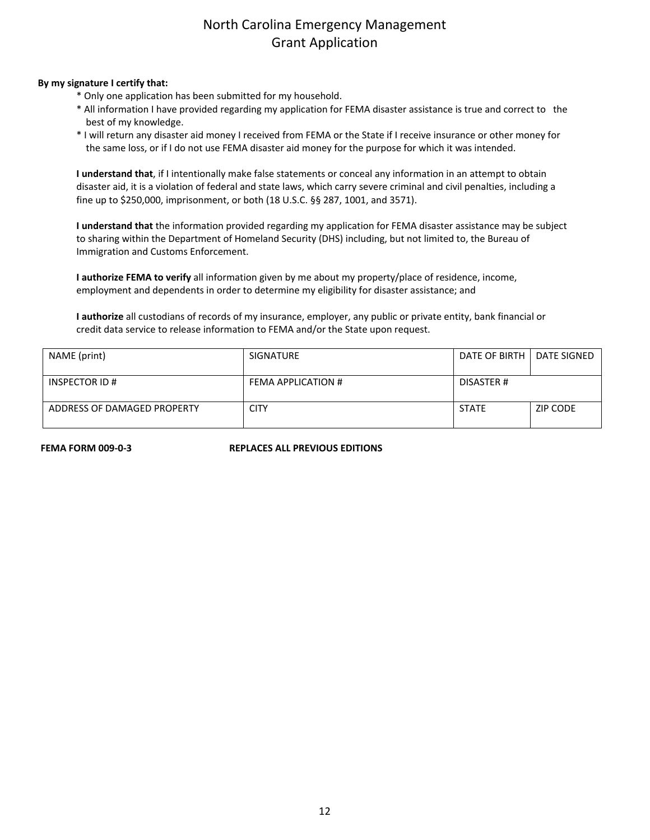#### **By my signature I certify that:**

- \* Only one application has been submitted for my household.
- \* All information I have provided regarding my application for FEMA disaster assistance is true and correct to the best of my knowledge.
- \* I will return any disaster aid money I received from FEMA or the State if I receive insurance or other money for the same loss, or if I do not use FEMA disaster aid money for the purpose for which it was intended.

**I understand that**, if I intentionally make false statements or conceal any information in an attempt to obtain disaster aid, it is a violation of federal and state laws, which carry severe criminal and civil penalties, including a fine up to \$250,000, imprisonment, or both (18 U.S.C. §§ 287, 1001, and 3571).

**I understand that** the information provided regarding my application for FEMA disaster assistance may be subject to sharing within the Department of Homeland Security (DHS) including, but not limited to, the Bureau of Immigration and Customs Enforcement.

**I authorize FEMA to verify** all information given by me about my property/place of residence, income, employment and dependents in order to determine my eligibility for disaster assistance; and

**I authorize** all custodians of records of my insurance, employer, any public or private entity, bank financial or credit data service to release information to FEMA and/or the State upon request.

| NAME (print)                | SIGNATURE          | DATE OF BIRTH I | <b>DATE SIGNED</b> |
|-----------------------------|--------------------|-----------------|--------------------|
| <b>INSPECTOR ID#</b>        | FEMA APPLICATION # | DISASTER #      |                    |
| ADDRESS OF DAMAGED PROPERTY | <b>CITY</b>        | <b>STATE</b>    | ZIP CODE           |

**FEMA FORM 009-0-3 REPLACES ALL PREVIOUS EDITIONS**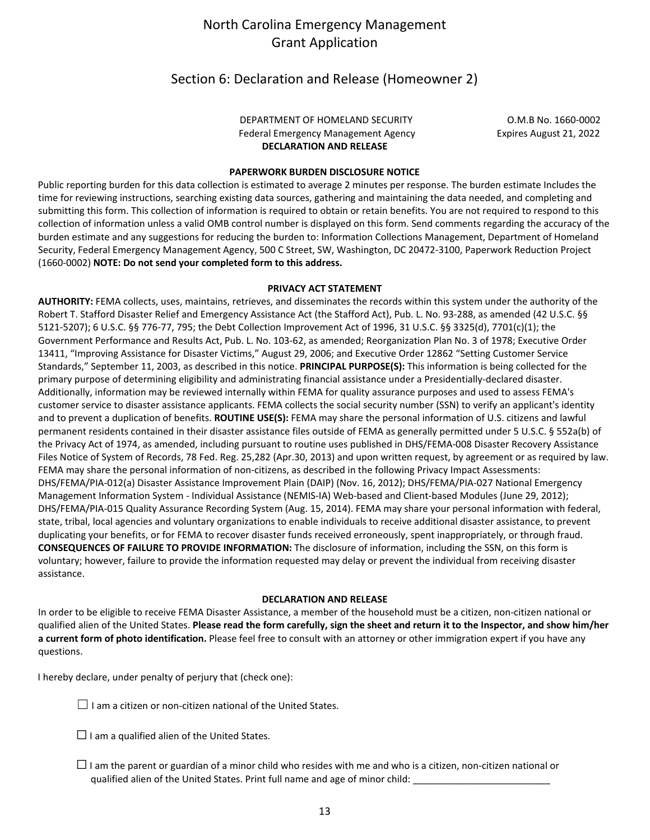#### Section 6: Declaration and Release (Homeowner 2)

#### DEPARTMENT OF HOMELAND SECURITY COM.B No. 1660-0002 Federal Emergency Management Agency **Expires August 21, 2022 DECLARATION AND RELEASE**

#### **PAPERWORK BURDEN DISCLOSURE NOTICE**

Public reporting burden for this data collection is estimated to average 2 minutes per response. The burden estimate Includes the time for reviewing instructions, searching existing data sources, gathering and maintaining the data needed, and completing and submitting this form. This collection of information is required to obtain or retain benefits. You are not required to respond to this collection of information unless a valid OMB control number is displayed on this form. Send comments regarding the accuracy of the burden estimate and any suggestions for reducing the burden to: Information Collections Management, Department of Homeland Security, Federal Emergency Management Agency, 500 C Street, SW, Washington, DC 20472-3100, Paperwork Reduction Project (1660-0002) **NOTE: Do not send your completed form to this address.**

#### **PRIVACY ACT STATEMENT**

**AUTHORITY:** FEMA collects, uses, maintains, retrieves, and disseminates the records within this system under the authority of the Robert T. Stafford Disaster Relief and Emergency Assistance Act (the Stafford Act), Pub. L. No. 93-288, as amended (42 U.S.C. §§ 5121-5207); 6 U.S.C. §§ 776-77, 795; the Debt Collection Improvement Act of 1996, 31 U.S.C. §§ 3325(d), 7701(c)(1); the Government Performance and Results Act, Pub. L. No. 103-62, as amended; Reorganization Plan No. 3 of 1978; Executive Order 13411, "Improving Assistance for Disaster Victims," August 29, 2006; and Executive Order 12862 "Setting Customer Service Standards," September 11, 2003, as described in this notice. **PRINCIPAL PURPOSE(S):** This information is being collected for the primary purpose of determining eligibility and administrating financial assistance under a Presidentially-declared disaster. Additionally, information may be reviewed internally within FEMA for quality assurance purposes and used to assess FEMA's customer service to disaster assistance applicants. FEMA collects the social security number (SSN) to verify an applicant's identity and to prevent a duplication of benefits. **ROUTINE USE(S):** FEMA may share the personal information of U.S. citizens and lawful permanent residents contained in their disaster assistance files outside of FEMA as generally permitted under 5 U.S.C. § 552a(b) of the Privacy Act of 1974, as amended, including pursuant to routine uses published in DHS/FEMA-008 Disaster Recovery Assistance Files Notice of System of Records, 78 Fed. Reg. 25,282 (Apr.30, 2013) and upon written request, by agreement or as required by law. FEMA may share the personal information of non-citizens, as described in the following Privacy Impact Assessments: DHS/FEMA/PIA-012(a) Disaster Assistance Improvement Plain (DAIP) (Nov. 16, 2012); DHS/FEMA/PIA-027 National Emergency Management Information System - Individual Assistance (NEMIS-IA) Web-based and Client-based Modules (June 29, 2012); DHS/FEMA/PIA-015 Quality Assurance Recording System (Aug. 15, 2014). FEMA may share your personal information with federal, state, tribal, local agencies and voluntary organizations to enable individuals to receive additional disaster assistance, to prevent duplicating your benefits, or for FEMA to recover disaster funds received erroneously, spent inappropriately, or through fraud. **CONSEQUENCES OF FAILURE TO PROVIDE INFORMATION:** The disclosure of information, including the SSN, on this form is voluntary; however, failure to provide the information requested may delay or prevent the individual from receiving disaster assistance.

#### **DECLARATION AND RELEASE**

In order to be eligible to receive FEMA Disaster Assistance, a member of the household must be a citizen, non-citizen national or qualified alien of the United States. **Please read the form carefully, sign the sheet and return it to the Inspector, and show him/her a current form of photo identification.** Please feel free to consult with an attorney or other immigration expert if you have any questions.

I hereby declare, under penalty of perjury that (check one):

 $\Box$  I am a citizen or non-citizen national of the United States.

 $\Box$  I am a qualified alien of the United States.

 $\Box$  I am the parent or guardian of a minor child who resides with me and who is a citizen, non-citizen national or qualified alien of the United States. Print full name and age of minor child: